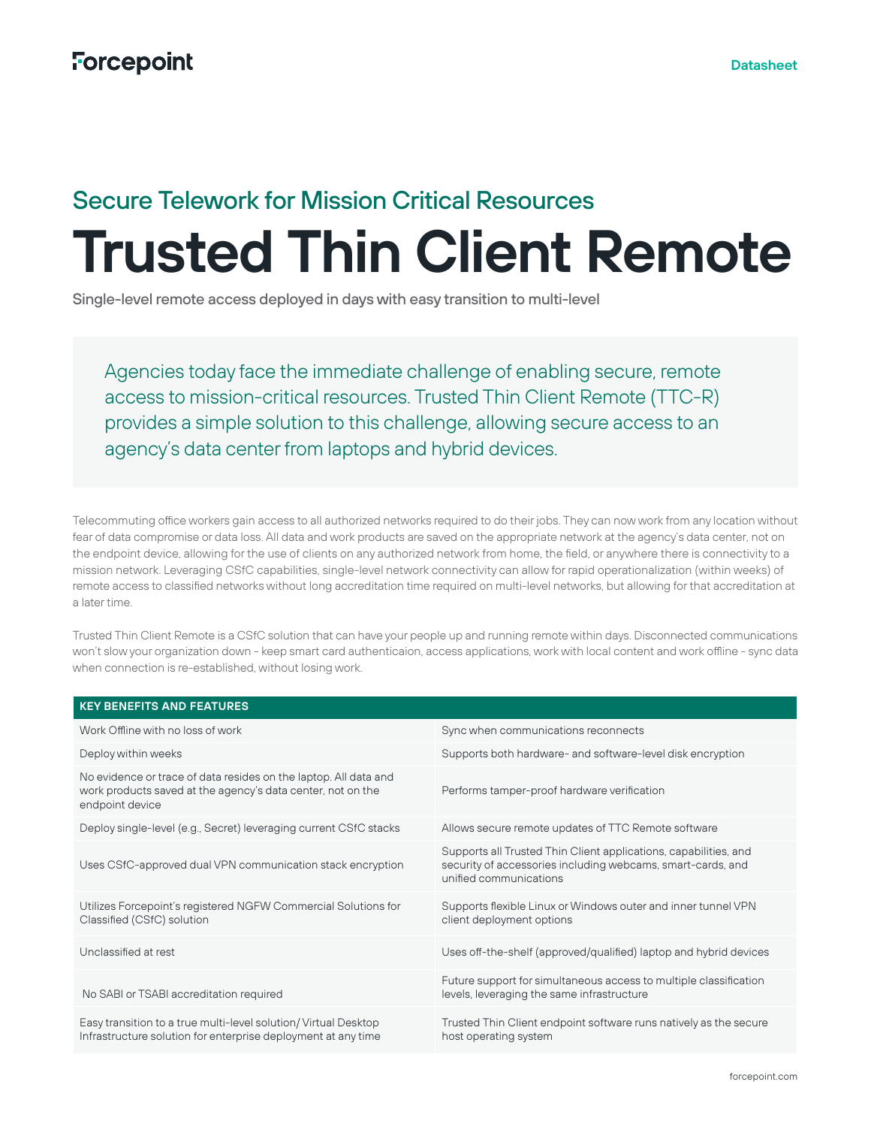# Secure Telework for Mission Critical Resources

# **Trusted Thin Client Remote**

Single-level remote access deployed in days with easy transition to multi-level

Agencies today face the immediate challenge of enabling secure, remote access to mission-critical resources. Trusted Thin Client Remote (TTC-R) provides a simple solution to this challenge, allowing secure access to an agency's data center from laptops and hybrid devices.

Telecommuting office workers gain access to all authorized networks required to do their jobs. They can now work from any location without fear of data compromise or data loss. All data and work products are saved on the appropriate network at the agency's data center, not on the endpoint device, allowing for the use of clients on any authorized network from home, the field, or anywhere there is connectivity to a mission network. Leveraging CSfC capabilities, single-level network connectivity can allow for rapid operationalization (within weeks) of remote access to classified networks without long accreditation time required on multi-level networks, but allowing for that accreditation at a later time.

Trusted Thin Client Remote is a CSfC solution that can have your people up and running remote within days. Disconnected communications won't slow your organization down - keep smart card authenticaion, access applications, work with local content and work offline - sync data when connection is re-established, without losing work.

| <b>KEY BENEFITS AND FEATURES</b>                                                                                                                   |                                                                                                                                                           |
|----------------------------------------------------------------------------------------------------------------------------------------------------|-----------------------------------------------------------------------------------------------------------------------------------------------------------|
| Work Offline with no loss of work                                                                                                                  | Sync when communications reconnects                                                                                                                       |
| Deploy within weeks                                                                                                                                | Supports both hardware- and software-level disk encryption                                                                                                |
| No evidence or trace of data resides on the laptop. All data and<br>work products saved at the agency's data center, not on the<br>endpoint device | Performs tamper-proof hardware verification                                                                                                               |
| Deploy single-level (e.g., Secret) leveraging current CSfC stacks                                                                                  | Allows secure remote updates of TTC Remote software                                                                                                       |
| Uses CSfC-approved dual VPN communication stack encryption                                                                                         | Supports all Trusted Thin Client applications, capabilities, and<br>security of accessories including webcams, smart-cards, and<br>unified communications |
| Utilizes Forcepoint's registered NGFW Commercial Solutions for<br>Classified (CSfC) solution                                                       | Supports flexible Linux or Windows outer and inner tunnel VPN<br>client deployment options                                                                |
| Unclassified at rest                                                                                                                               | Uses off-the-shelf (approved/qualified) laptop and hybrid devices                                                                                         |
| No SABI or TSABI accreditation required                                                                                                            | Future support for simultaneous access to multiple classification<br>levels, leveraging the same infrastructure                                           |
| Easy transition to a true multi-level solution/ Virtual Desktop<br>Infrastructure solution for enterprise deployment at any time                   | Trusted Thin Client endpoint software runs natively as the secure<br>host operating system                                                                |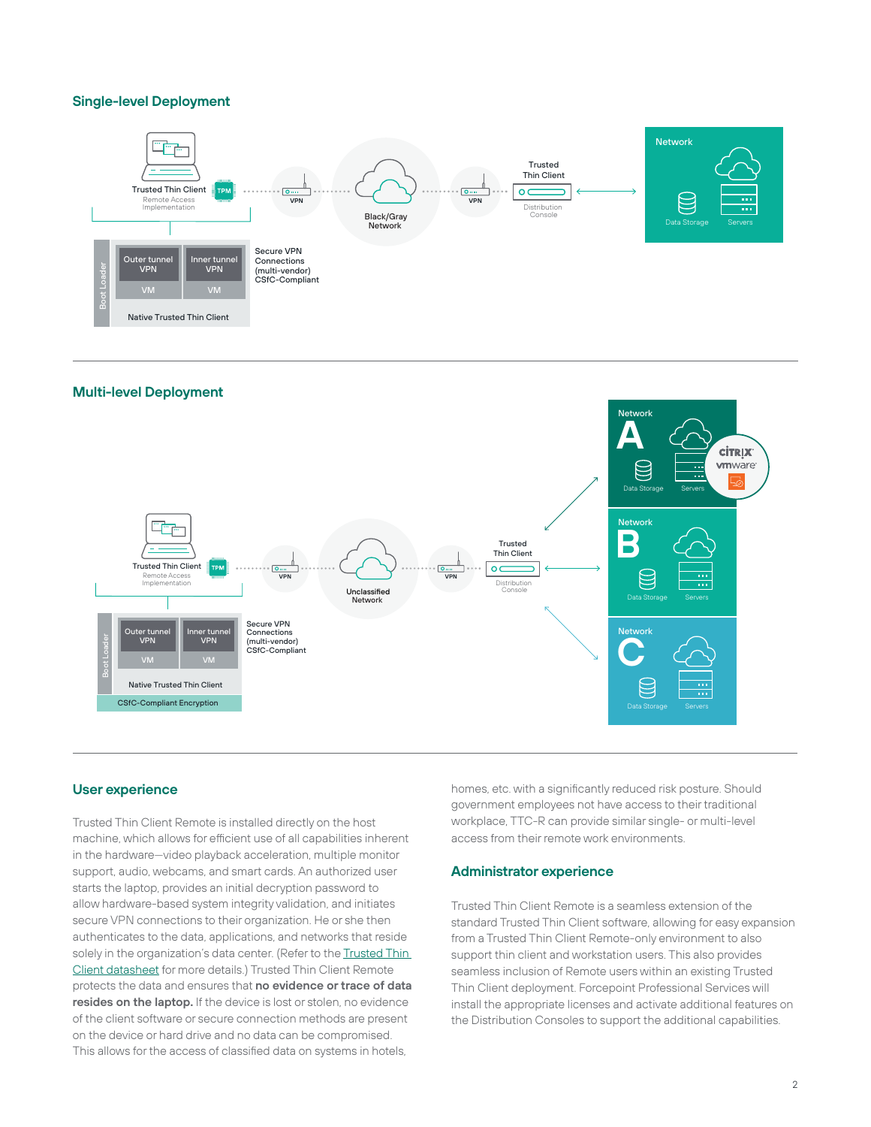# **Single-level Deployment**



# **Multi-level Deployment**



## **User experience**

Trusted Thin Client Remote is installed directly on the host machine, which allows for efficient use of all capabilities inherent in the hardware—video playback acceleration, multiple monitor support, audio, webcams, and smart cards. An authorized user starts the laptop, provides an initial decryption password to allow hardware-based system integrity validation, and initiates secure VPN connections to their organization. He or she then authenticates to the data, applications, and networks that reside solely in the organization's data center. (Refer to the Trusted Thin Client datasheet for more details.) Trusted Thin Client Remote protects the data and ensures that **no evidence or trace of data resides on the laptop.** If the device is lost or stolen, no evidence of the client software or secure connection methods are present on the device or hard drive and no data can be compromised. This allows for the access of classified data on systems in hotels,

homes, etc. with a significantly reduced risk posture. Should government employees not have access to their traditional workplace, TTC-R can provide similar single- or multi-level access from their remote work environments.

#### **Administrator experience**

Trusted Thin Client Remote is a seamless extension of the standard Trusted Thin Client software, allowing for easy expansion from a Trusted Thin Client Remote-only environment to also support thin client and workstation users. This also provides seamless inclusion of Remote users within an existing Trusted Thin Client deployment. Forcepoint Professional Services will install the appropriate licenses and activate additional features on the Distribution Consoles to support the additional capabilities.